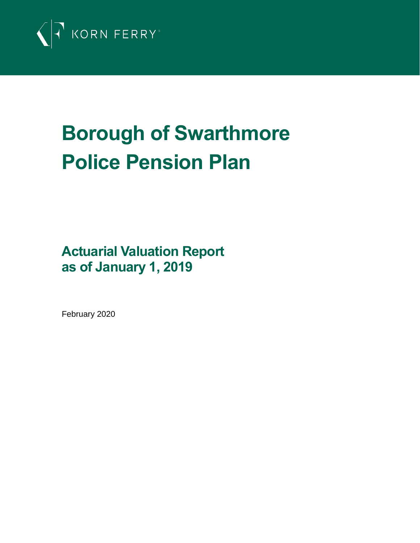

# **Borough of Swarthmore Police Pension Plan**

**Actuarial Valuation Report as of January 1, 2019**

February 2020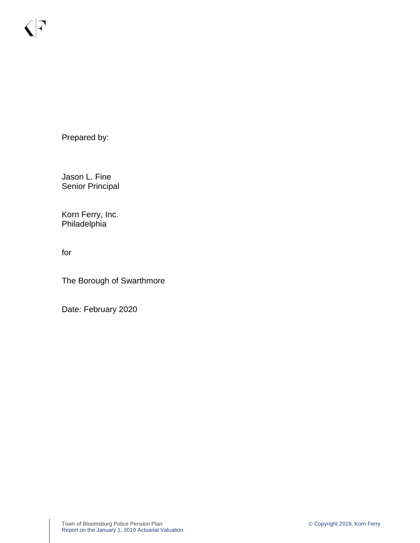Prepared by:

 $\bigcap$ 

Jason L. Fine Senior Principal

Korn Ferry, Inc. Philadelphia

for

The Borough of Swarthmore

Date: February 2020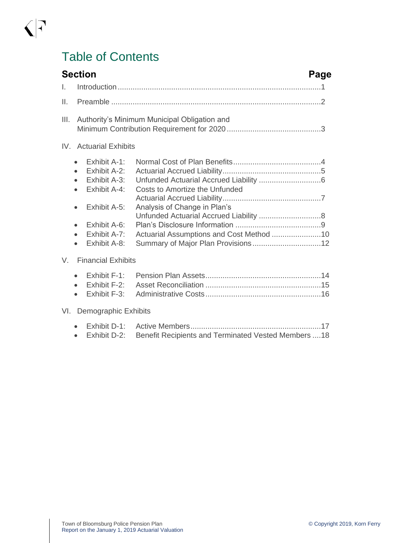# Table of Contents

 $\sqrt{7}$ 

|                 | <b>Section</b>                                                                                                                                                                                                          | Page                                                                                                                                                  |
|-----------------|-------------------------------------------------------------------------------------------------------------------------------------------------------------------------------------------------------------------------|-------------------------------------------------------------------------------------------------------------------------------------------------------|
| I.              |                                                                                                                                                                                                                         |                                                                                                                                                       |
| $\mathbf{II}$ . |                                                                                                                                                                                                                         |                                                                                                                                                       |
| III.            |                                                                                                                                                                                                                         | Authority's Minimum Municipal Obligation and                                                                                                          |
|                 | IV. Actuarial Exhibits                                                                                                                                                                                                  |                                                                                                                                                       |
|                 | Exhibit A-1:<br>$\bullet$<br>Exhibit A-2:<br>$\bullet$<br>Exhibit A-3:<br>Exhibit A-4:<br>$\bullet$<br>Exhibit A-5:<br>$\bullet$<br>Exhibit A-6:<br>$\bullet$<br>Exhibit A-7:<br>$\bullet$<br>Exhibit A-8:<br>$\bullet$ | Costs to Amortize the Unfunded<br>Analysis of Change in Plan's<br>Unfunded Actuarial Accrued Liability  8<br>Actuarial Assumptions and Cost Method 10 |
| V.              | <b>Financial Exhibits</b>                                                                                                                                                                                               |                                                                                                                                                       |
|                 | Exhibit F-1:<br>$\bullet$<br>Exhibit F-2:<br>$\bullet$<br>Exhibit F-3:<br>$\bullet$                                                                                                                                     |                                                                                                                                                       |
|                 | VI. Demographic Exhibits                                                                                                                                                                                                |                                                                                                                                                       |
|                 | Exhibit D-1:<br>Exhibit D-2:<br>$\bullet$                                                                                                                                                                               | Benefit Recipients and Terminated Vested Members  18                                                                                                  |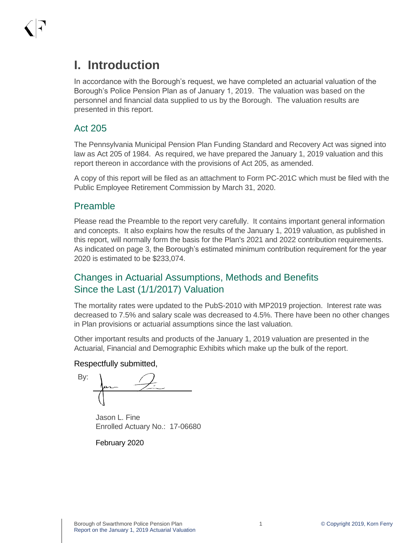## **I. Introduction**

In accordance with the Borough's request, we have completed an actuarial valuation of the Borough's Police Pension Plan as of January 1, 2019. The valuation was based on the personnel and financial data supplied to us by the Borough. The valuation results are presented in this report.

#### Act 205

The Pennsylvania Municipal Pension Plan Funding Standard and Recovery Act was signed into law as Act 205 of 1984. As required, we have prepared the January 1, 2019 valuation and this report thereon in accordance with the provisions of Act 205, as amended.

A copy of this report will be filed as an attachment to Form PC-201C which must be filed with the Public Employee Retirement Commission by March 31, 2020.

#### Preamble

Please read the Preamble to the report very carefully. It contains important general information and concepts. It also explains how the results of the January 1, 2019 valuation, as published in this report, will normally form the basis for the Plan's 2021 and 2022 contribution requirements. As indicated on page 3, the Borough's estimated minimum contribution requirement for the year 2020 is estimated to be \$233,074.

## Changes in Actuarial Assumptions, Methods and Benefits Since the Last (1/1/2017) Valuation

The mortality rates were updated to the PubS-2010 with MP2019 projection. Interest rate was decreased to 7.5% and salary scale was decreased to 4.5%. There have been no other changes in Plan provisions or actuarial assumptions since the last valuation.

Other important results and products of the January 1, 2019 valuation are presented in the Actuarial, Financial and Demographic Exhibits which make up the bulk of the report.

#### Respectfully submitted,

By:

Jason L. Fine Enrolled Actuary No.: 17-06680

February 2020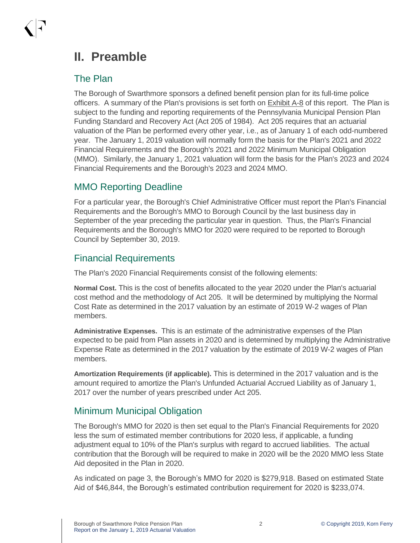## **II. Preamble**

#### The Plan

The Borough of Swarthmore sponsors a defined benefit pension plan for its full-time police officers. A summary of the Plan's provisions is set forth on Exhibit A-8 of this report. The Plan is subject to the funding and reporting requirements of the Pennsylvania Municipal Pension Plan Funding Standard and Recovery Act (Act 205 of 1984). Act 205 requires that an actuarial valuation of the Plan be performed every other year, i.e., as of January 1 of each odd-numbered year. The January 1, 2019 valuation will normally form the basis for the Plan's 2021 and 2022 Financial Requirements and the Borough's 2021 and 2022 Minimum Municipal Obligation (MMO). Similarly, the January 1, 2021 valuation will form the basis for the Plan's 2023 and 2024 Financial Requirements and the Borough's 2023 and 2024 MMO.

## MMO Reporting Deadline

For a particular year, the Borough's Chief Administrative Officer must report the Plan's Financial Requirements and the Borough's MMO to Borough Council by the last business day in September of the year preceding the particular year in question. Thus, the Plan's Financial Requirements and the Borough's MMO for 2020 were required to be reported to Borough Council by September 30, 2019.

## Financial Requirements

The Plan's 2020 Financial Requirements consist of the following elements:

**Normal Cost.** This is the cost of benefits allocated to the year 2020 under the Plan's actuarial cost method and the methodology of Act 205. It will be determined by multiplying the Normal Cost Rate as determined in the 2017 valuation by an estimate of 2019 W-2 wages of Plan members.

**Administrative Expenses.** This is an estimate of the administrative expenses of the Plan expected to be paid from Plan assets in 2020 and is determined by multiplying the Administrative Expense Rate as determined in the 2017 valuation by the estimate of 2019 W-2 wages of Plan members.

**Amortization Requirements (if applicable).** This is determined in the 2017 valuation and is the amount required to amortize the Plan's Unfunded Actuarial Accrued Liability as of January 1, 2017 over the number of years prescribed under Act 205.

## Minimum Municipal Obligation

The Borough's MMO for 2020 is then set equal to the Plan's Financial Requirements for 2020 less the sum of estimated member contributions for 2020 less, if applicable, a funding adjustment equal to 10% of the Plan's surplus with regard to accrued liabilities. The actual contribution that the Borough will be required to make in 2020 will be the 2020 MMO less State Aid deposited in the Plan in 2020.

As indicated on page 3, the Borough's MMO for 2020 is \$279,918. Based on estimated State Aid of \$46,844, the Borough's estimated contribution requirement for 2020 is \$233,074.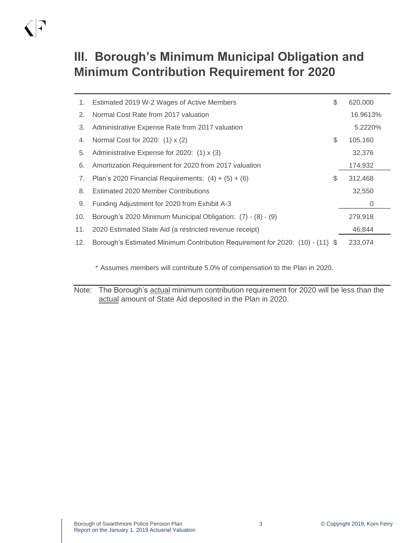# $\bigwedge$

# **III. Borough's Minimum Municipal Obligation and Minimum Contribution Requirement for 2020**

| 1.  | Estimated 2019 W-2 Wages of Active Members                                    | \$<br>620,000 |
|-----|-------------------------------------------------------------------------------|---------------|
| 2.  | Normal Cost Rate from 2017 valuation                                          | 16.9613%      |
| 3.  | Administrative Expense Rate from 2017 valuation                               | 5.2220%       |
| 4.  | Normal Cost for 2020: (1) x (2)                                               | \$<br>105,160 |
| 5.  | Administrative Expense for 2020: (1) x (3)                                    | 32,376        |
| 6.  | Amortization Requirement for 2020 from 2017 valuation                         | 174,932       |
| 7.  | Plan's 2020 Financial Requirements: $(4) + (5) + (6)$                         | \$<br>312,468 |
| 8.  | <b>Estimated 2020 Member Contributions</b>                                    | 32,550        |
| 9.  | Funding Adjustment for 2020 from Exhibit A-3                                  | 0             |
| 10. | Borough's 2020 Minimum Municipal Obligation: (7) - (8) - (9)                  | 279,918       |
| 11. | 2020 Estimated State Aid (a restricted revenue receipt)                       | 46,844        |
| 12. | Borough's Estimated Minimum Contribution Requirement for 2020: (10) - (11) \$ | 233,074       |

\* Assumes members will contribute 5.0% of compensation to the Plan in 2020.

Note: The Borough's actual minimum contribution requirement for 2020 will be less than the actual amount of State Aid deposited in the Plan in 2020.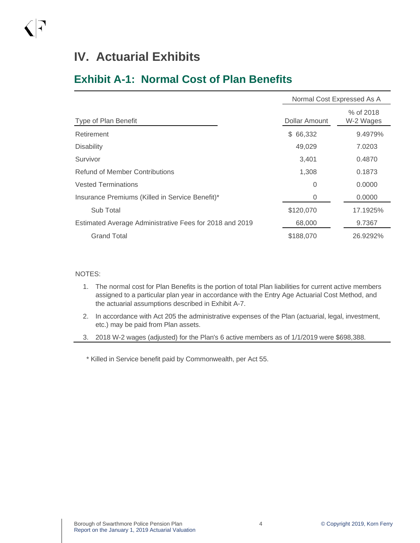## **Exhibit A-1: Normal Cost of Plan Benefits**

|                                                         | Normal Cost Expressed As A |                        |  |
|---------------------------------------------------------|----------------------------|------------------------|--|
| Type of Plan Benefit                                    | Dollar Amount              | % of 2018<br>W-2 Wages |  |
| Retirement                                              | \$66,332                   | 9.4979%                |  |
| <b>Disability</b>                                       | 49,029                     | 7.0203                 |  |
| Survivor                                                | 3,401                      | 0.4870                 |  |
| Refund of Member Contributions                          | 1,308                      | 0.1873                 |  |
| <b>Vested Terminations</b>                              | 0                          | 0.0000                 |  |
| Insurance Premiums (Killed in Service Benefit)*         | 0                          | 0.0000                 |  |
| Sub Total                                               | \$120,070                  | 17.1925%               |  |
| Estimated Average Administrative Fees for 2018 and 2019 | 68,000                     | 9.7367                 |  |
| <b>Grand Total</b>                                      | \$188,070                  | 26.9292%               |  |

#### NOTES:

- 1. The normal cost for Plan Benefits is the portion of total Plan liabilities for current active members assigned to a particular plan year in accordance with the Entry Age Actuarial Cost Method, and the actuarial assumptions described in Exhibit A-7.
- 2. In accordance with Act 205 the administrative expenses of the Plan (actuarial, legal, investment, etc.) may be paid from Plan assets.
- 3. 2018 W-2 wages (adjusted) for the Plan's 6 active members as of 1/1/2019 were \$698,388.

\* Killed in Service benefit paid by Commonwealth, per Act 55.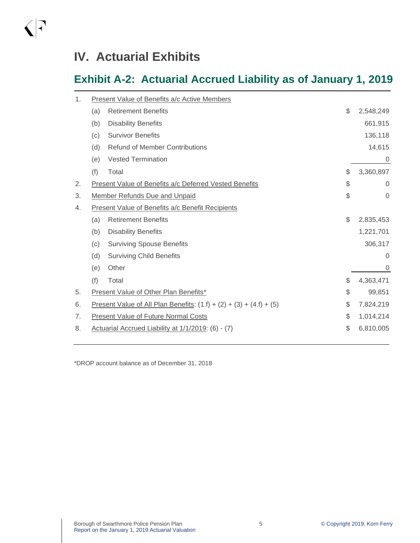$\bigwedge$ 

# **Exhibit A-2: Actuarial Accrued Liability as of January 1, 2019**

| 1. |     | Present Value of Benefits a/c Active Members                                  |                   |
|----|-----|-------------------------------------------------------------------------------|-------------------|
|    | (a) | <b>Retirement Benefits</b>                                                    | \$<br>2,548,249   |
|    | (b) | <b>Disability Benefits</b>                                                    | 661,915           |
|    | (c) | <b>Survivor Benefits</b>                                                      | 136,118           |
|    | (d) | <b>Refund of Member Contributions</b>                                         | 14,615            |
|    | (e) | <b>Vested Termination</b>                                                     | 0                 |
|    | (f) | Total                                                                         | \$<br>3,360,897   |
| 2. |     | Present Value of Benefits a/c Deferred Vested Benefits                        | \$<br>$\mathbf 0$ |
| 3. |     | <b>Member Refunds Due and Unpaid</b>                                          | \$<br>$\Omega$    |
| 4. |     | <b>Present Value of Benefits a/c Benefit Recipients</b>                       |                   |
|    | (a) | <b>Retirement Benefits</b>                                                    | \$<br>2,835,453   |
|    | (b) | <b>Disability Benefits</b>                                                    | 1,221,701         |
|    | (c) | <b>Surviving Spouse Benefits</b>                                              | 306,317           |
|    | (d) | <b>Surviving Child Benefits</b>                                               | $\Omega$          |
|    | (e) | Other                                                                         | $\overline{0}$    |
|    | (f) | Total                                                                         | \$<br>4,363,471   |
| 5. |     | Present Value of Other Plan Benefits*                                         | \$<br>99,851      |
| 6. |     | <u>Present Value of All Plan Benefits</u> : $(1.f) + (2) + (3) + (4.f) + (5)$ | \$<br>7,824,219   |
| 7. |     | <b>Present Value of Future Normal Costs</b>                                   | \$<br>1,014,214   |
| 8. |     | Actuarial Accrued Liability at 1/1/2019: (6) - (7)                            | \$<br>6,810,005   |
|    |     |                                                                               |                   |

\*DROP account balance as of December 31, 2018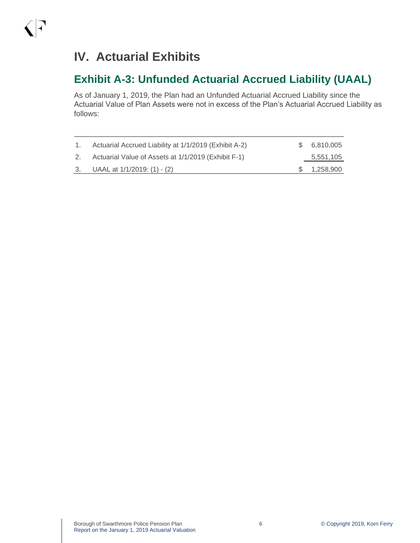## **Exhibit A-3: Unfunded Actuarial Accrued Liability (UAAL)**

As of January 1, 2019, the Plan had an Unfunded Actuarial Accrued Liability since the Actuarial Value of Plan Assets were not in excess of the Plan's Actuarial Accrued Liability as follows:

| $\sim$ 1. | Actuarial Accrued Liability at 1/1/2019 (Exhibit A-2) | \$6,810,005  |
|-----------|-------------------------------------------------------|--------------|
| 2.        | Actuarial Value of Assets at 1/1/2019 (Exhibit F-1)   | 5,551,105    |
|           | 3. UAAL at $1/1/2019$ : (1) - (2)                     | \$ 1,258,900 |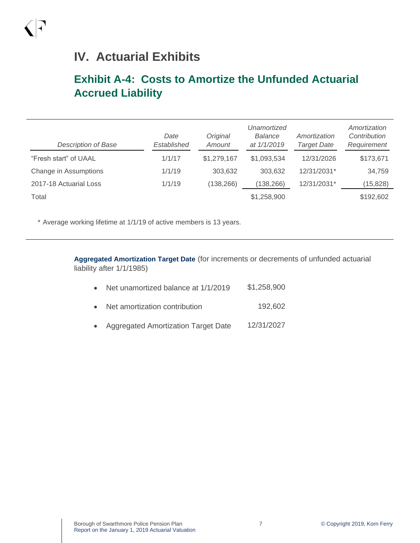## **Exhibit A-4: Costs to Amortize the Unfunded Actuarial Accrued Liability**

| <b>Description of Base</b> | Date<br>Established | Original<br>Amount | Unamortized<br>Balance<br>at $1/1/2019$ | Amortization<br><b>Target Date</b> | Amortization<br>Contribution<br>Requirement |
|----------------------------|---------------------|--------------------|-----------------------------------------|------------------------------------|---------------------------------------------|
| "Fresh start" of UAAL      | 1/1/17              | \$1,279,167        | \$1,093,534                             | 12/31/2026                         | \$173,671                                   |
| Change in Assumptions      | 1/1/19              | 303,632            | 303,632                                 | 12/31/2031*                        | 34,759                                      |
| 2017-18 Actuarial Loss     | 1/1/19              | (138, 266)         | (138, 266)                              | 12/31/2031*                        | (15, 828)                                   |
| Total                      |                     |                    | \$1,258,900                             |                                    | \$192,602                                   |

\* Average working lifetime at 1/1/19 of active members is 13 years.

**Aggregated Amortization Target Date** (for increments or decrements of unfunded actuarial liability after 1/1/1985)

|  | Net unamortized balance at 1/1/2019 | \$1,258,900 |
|--|-------------------------------------|-------------|
|--|-------------------------------------|-------------|

- Net amortization contribution 192,602
- Aggregated Amortization Target Date 12/31/2027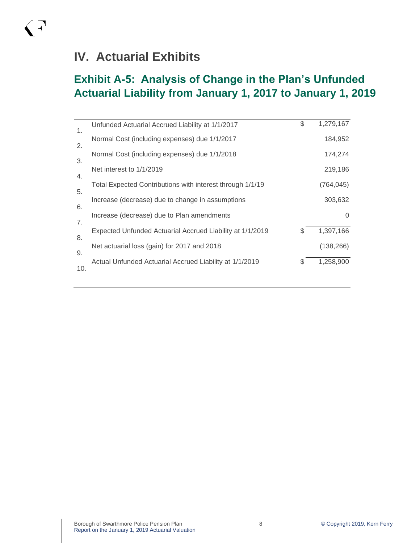$\bigwedge$ 

## **Exhibit A-5: Analysis of Change in the Plan's Unfunded Actuarial Liability from January 1, 2017 to January 1, 2019**

| 1.        | Unfunded Actuarial Accrued Liability at 1/1/2017          | \$ | 1,279,167  |
|-----------|-----------------------------------------------------------|----|------------|
| 2.        | Normal Cost (including expenses) due 1/1/2017             |    | 184,952    |
|           | Normal Cost (including expenses) due 1/1/2018             |    | 174,274    |
| 3.        | Net interest to 1/1/2019                                  |    | 219,186    |
| 4.        | Total Expected Contributions with interest through 1/1/19 |    | (764,045)  |
| 5.        | Increase (decrease) due to change in assumptions          |    | 303,632    |
| 6.        | Increase (decrease) due to Plan amendments                |    | 0          |
| 7.        | Expected Unfunded Actuarial Accrued Liability at 1/1/2019 | \$ | 1,397,166  |
| 8.        | Net actuarial loss (gain) for 2017 and 2018               |    | (138, 266) |
| 9.<br>10. | Actual Unfunded Actuarial Accrued Liability at 1/1/2019   | S  | 1,258,900  |
|           |                                                           |    |            |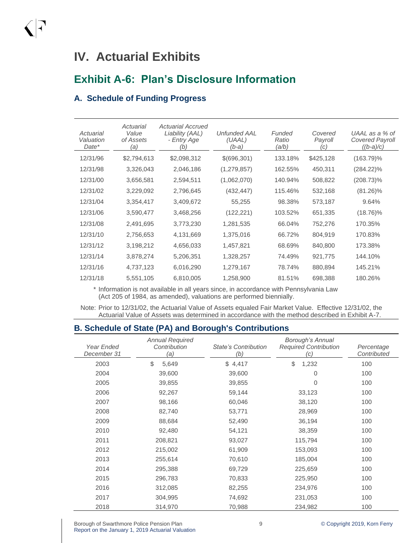## **Exhibit A-6: Plan's Disclosure Information**

#### **A. Schedule of Funding Progress**

| Actuarial<br>Valuation<br>Date* | Actuarial<br>Value<br>of Assets<br>(a) | Actuarial Accrued<br>Liability (AAL)<br>- Entry Age<br>(b) | Unfunded AAL<br>(UAAL)<br>$(b-a)$ | Funded<br>Ratio<br>′a∕b) | Covered<br>Payroll<br>(C) | UAAL as a % of<br><b>Covered Payroll</b><br>$((b-a)/c)$ |
|---------------------------------|----------------------------------------|------------------------------------------------------------|-----------------------------------|--------------------------|---------------------------|---------------------------------------------------------|
| 12/31/96                        | \$2,794,613                            | \$2,098,312                                                | \$(696,301)                       | 133.18%                  | \$425,128                 | $(163.79)\%$                                            |
| 12/31/98                        | 3,326,043                              | 2,046,186                                                  | (1, 279, 857)                     | 162.55%                  | 450,311                   | $(284.22)\%$                                            |
| 12/31/00                        | 3,656,581                              | 2,594,511                                                  | (1,062,070)                       | 140.94%                  | 508,822                   | $(208.73)\%$                                            |
| 12/31/02                        | 3,229,092                              | 2,796,645                                                  | (432, 447)                        | 115.46%                  | 532,168                   | $(81.26)\%$                                             |
| 12/31/04                        | 3,354,417                              | 3,409,672                                                  | 55,255                            | 98.38%                   | 573,187                   | 9.64%                                                   |
| 12/31/06                        | 3,590,477                              | 3,468,256                                                  | (122, 221)                        | 103.52%                  | 651,335                   | $(18.76)\%$                                             |
| 12/31/08                        | 2,491,695                              | 3,773,230                                                  | 1,281,535                         | 66.04%                   | 752,276                   | 170.35%                                                 |
| 12/31/10                        | 2,756,653                              | 4,131,669                                                  | 1,375,016                         | 66.72%                   | 804,919                   | 170.83%                                                 |
| 12/31/12                        | 3,198,212                              | 4,656,033                                                  | 1,457,821                         | 68.69%                   | 840,800                   | 173.38%                                                 |
| 12/31/14                        | 3,878,274                              | 5,206,351                                                  | 1,328,257                         | 74.49%                   | 921,775                   | 144.10%                                                 |
| 12/31/16                        | 4,737,123                              | 6,016,290                                                  | 1,279,167                         | 78.74%                   | 880,894                   | 145.21%                                                 |
| 12/31/18                        | 5,551,105                              | 6,810,005                                                  | 1,258,900                         | 81.51%                   | 698,388                   | 180.26%                                                 |

\* Information is not available in all years since, in accordance with Pennsylvania Law (Act 205 of 1984, as amended), valuations are performed biennially.

Note: Prior to 12/31/02, the Actuarial Value of Assets equaled Fair Market Value. Effective 12/31/02, the Actuarial Value of Assets was determined in accordance with the method described in Exhibit A-7.

#### **B. Schedule of State (PA) and Borough's Contributions**

| Year Ended<br>December 31 | <b>Annual Required</b><br>Contribution<br>(a) | <b>State's Contribution</b><br>(b) | Borough's Annual<br><b>Required Contribution</b><br>(c) | Percentage<br>Contributed |
|---------------------------|-----------------------------------------------|------------------------------------|---------------------------------------------------------|---------------------------|
| 2003                      | \$<br>5,649                                   | \$4,417                            | \$<br>1,232                                             | 100                       |
| 2004                      | 39,600                                        | 39,600                             | 0                                                       | 100                       |
| 2005                      | 39,855                                        | 39,855                             | $\Omega$                                                | 100                       |
| 2006                      | 92,267                                        | 59,144                             | 33,123                                                  | 100                       |
| 2007                      | 98,166                                        | 60,046                             | 38,120                                                  | 100                       |
| 2008                      | 82,740                                        | 53,771                             | 28,969                                                  | 100                       |
| 2009                      | 88,684                                        | 52,490                             | 36,194                                                  | 100                       |
| 2010                      | 92,480                                        | 54,121                             | 38,359                                                  | 100                       |
| 2011                      | 208,821                                       | 93,027                             | 115,794                                                 | 100                       |
| 2012                      | 215,002                                       | 61,909                             | 153,093                                                 | 100                       |
| 2013                      | 255,614                                       | 70,610                             | 185,004                                                 | 100                       |
| 2014                      | 295,388                                       | 69,729                             | 225,659                                                 | 100                       |
| 2015                      | 296,783                                       | 70,833                             | 225,950                                                 | 100                       |
| 2016                      | 312,085                                       | 82,255                             | 234,976                                                 | 100                       |
| 2017                      | 304,995                                       | 74,692                             | 231,053                                                 | 100                       |
| 2018                      | 314,970                                       | 70,988                             | 234,982                                                 | 100                       |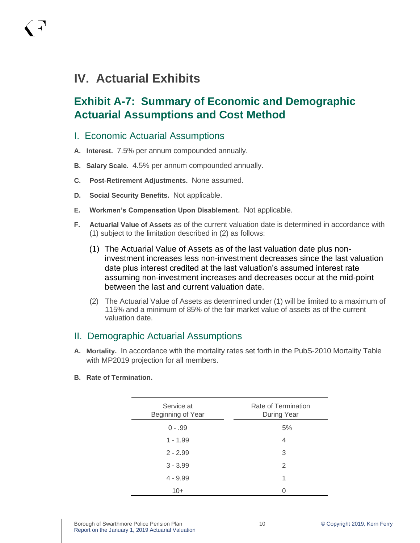## **Exhibit A-7: Summary of Economic and Demographic Actuarial Assumptions and Cost Method**

#### I. Economic Actuarial Assumptions

- **A. Interest.** 7.5% per annum compounded annually.
- **B. Salary Scale.** 4.5% per annum compounded annually.
- **C. Post-Retirement Adjustments.** None assumed.
- **D. Social Security Benefits.** Not applicable.
- **E. Workmen's Compensation Upon Disablement.** Not applicable.
- **F. Actuarial Value of Assets** as of the current valuation date is determined in accordance with (1) subject to the limitation described in (2) as follows:
	- (1) The Actuarial Value of Assets as of the last valuation date plus noninvestment increases less non-investment decreases since the last valuation date plus interest credited at the last valuation's assumed interest rate assuming non-investment increases and decreases occur at the mid-point between the last and current valuation date.
	- (2) The Actuarial Value of Assets as determined under (1) will be limited to a maximum of 115% and a minimum of 85% of the fair market value of assets as of the current valuation date.

#### II. Demographic Actuarial Assumptions

- **A. Mortality.** In accordance with the mortality rates set forth in the PubS-2010 Mortality Table with MP2019 projection for all members.
- **B. Rate of Termination.**

| Service at<br>Beginning of Year | Rate of Termination<br>During Year |
|---------------------------------|------------------------------------|
| $0 - .99$                       | 5%                                 |
| $1 - 1.99$                      | 4                                  |
| $2 - 2.99$                      | 3                                  |
| $3 - 3.99$                      | 2                                  |
| $4 - 9.99$                      | 1                                  |
| $10+$                           |                                    |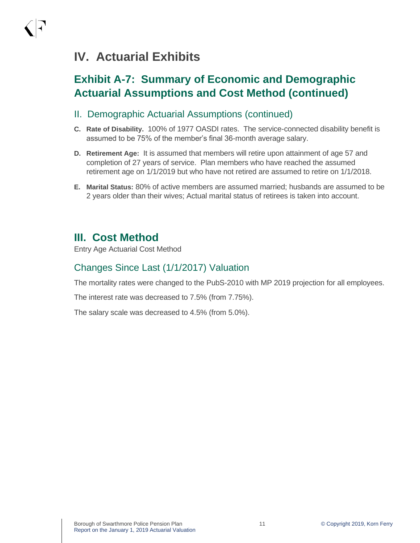## **Exhibit A-7: Summary of Economic and Demographic Actuarial Assumptions and Cost Method (continued)**

- II. Demographic Actuarial Assumptions (continued)
- **C. Rate of Disability.** 100% of 1977 OASDI rates. The service-connected disability benefit is assumed to be 75% of the member's final 36-month average salary.
- **D. Retirement Age:** It is assumed that members will retire upon attainment of age 57 and completion of 27 years of service. Plan members who have reached the assumed retirement age on 1/1/2019 but who have not retired are assumed to retire on 1/1/2018.
- **E. Marital Status:** 80% of active members are assumed married; husbands are assumed to be 2 years older than their wives; Actual marital status of retirees is taken into account.

## **III. Cost Method**

Entry Age Actuarial Cost Method

## Changes Since Last (1/1/2017) Valuation

The mortality rates were changed to the PubS-2010 with MP 2019 projection for all employees.

The interest rate was decreased to 7.5% (from 7.75%).

The salary scale was decreased to 4.5% (from 5.0%).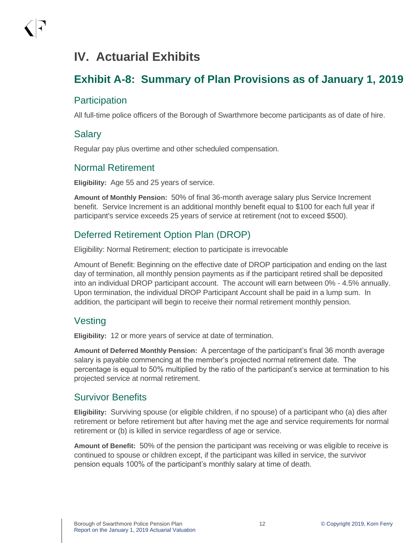## **Exhibit A-8: Summary of Plan Provisions as of January 1, 2019**

#### **Participation**

All full-time police officers of the Borough of Swarthmore become participants as of date of hire.

#### Salary

Regular pay plus overtime and other scheduled compensation.

#### Normal Retirement

**Eligibility:** Age 55 and 25 years of service.

**Amount of Monthly Pension:** 50% of final 36-month average salary plus Service Increment benefit. Service Increment is an additional monthly benefit equal to \$100 for each full year if participant's service exceeds 25 years of service at retirement (not to exceed \$500).

## Deferred Retirement Option Plan (DROP)

Eligibility: Normal Retirement; election to participate is irrevocable

Amount of Benefit: Beginning on the effective date of DROP participation and ending on the last day of termination, all monthly pension payments as if the participant retired shall be deposited into an individual DROP participant account. The account will earn between 0% - 4.5% annually. Upon termination, the individual DROP Participant Account shall be paid in a lump sum. In addition, the participant will begin to receive their normal retirement monthly pension.

#### Vesting

**Eligibility:** 12 or more years of service at date of termination.

**Amount of Deferred Monthly Pension:** A percentage of the participant's final 36 month average salary is payable commencing at the member's projected normal retirement date. The percentage is equal to 50% multiplied by the ratio of the participant's service at termination to his projected service at normal retirement.

#### Survivor Benefits

**Eligibility:** Surviving spouse (or eligible children, if no spouse) of a participant who (a) dies after retirement or before retirement but after having met the age and service requirements for normal retirement or (b) is killed in service regardless of age or service.

**Amount of Benefit:** 50% of the pension the participant was receiving or was eligible to receive is continued to spouse or children except, if the participant was killed in service, the survivor pension equals 100% of the participant's monthly salary at time of death.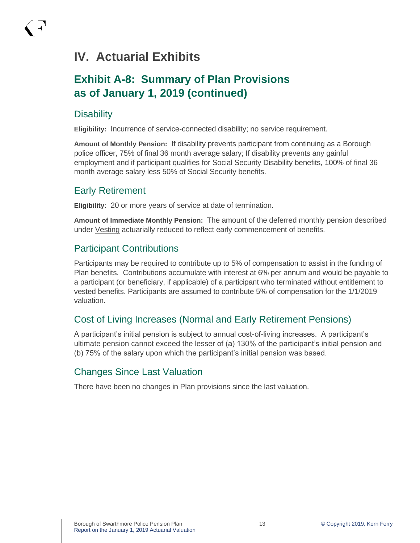## **Exhibit A-8: Summary of Plan Provisions as of January 1, 2019 (continued)**

#### **Disability**

**Eligibility:** Incurrence of service-connected disability; no service requirement.

**Amount of Monthly Pension:** If disability prevents participant from continuing as a Borough police officer, 75% of final 36 month average salary; If disability prevents any gainful employment and if participant qualifies for Social Security Disability benefits, 100% of final 36 month average salary less 50% of Social Security benefits.

#### Early Retirement

**Eligibility:** 20 or more years of service at date of termination.

**Amount of Immediate Monthly Pension:** The amount of the deferred monthly pension described under Vesting actuarially reduced to reflect early commencement of benefits.

#### Participant Contributions

Participants may be required to contribute up to 5% of compensation to assist in the funding of Plan benefits. Contributions accumulate with interest at 6% per annum and would be payable to a participant (or beneficiary, if applicable) of a participant who terminated without entitlement to vested benefits. Participants are assumed to contribute 5% of compensation for the 1/1/2019 valuation.

## Cost of Living Increases (Normal and Early Retirement Pensions)

A participant's initial pension is subject to annual cost-of-living increases. A participant's ultimate pension cannot exceed the lesser of (a) 130% of the participant's initial pension and (b) 75% of the salary upon which the participant's initial pension was based.

#### Changes Since Last Valuation

There have been no changes in Plan provisions since the last valuation.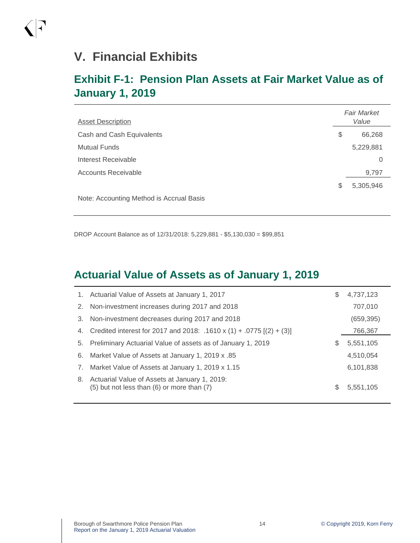$\bigcap$ 

## **Exhibit F-1: Pension Plan Assets at Fair Market Value as of January 1, 2019**

| <b>Asset Description</b>                 |    | <b>Fair Market</b><br>Value |  |
|------------------------------------------|----|-----------------------------|--|
| Cash and Cash Equivalents                | \$ | 66,268                      |  |
| <b>Mutual Funds</b>                      |    | 5,229,881                   |  |
| Interest Receivable                      |    | 0                           |  |
| <b>Accounts Receivable</b>               |    | 9,797                       |  |
|                                          | S  | 5,305,946                   |  |
| Note: Accounting Method is Accrual Basis |    |                             |  |

DROP Account Balance as of 12/31/2018: 5,229,881 - \$5,130,030 = \$99,851

## **Actuarial Value of Assets as of January 1, 2019**

|    | 1. Actuarial Value of Assets at January 1, 2017                                             | S | 4,737,123  |
|----|---------------------------------------------------------------------------------------------|---|------------|
| 2. | Non-investment increases during 2017 and 2018                                               |   | 707,010    |
| 3. | Non-investment decreases during 2017 and 2018                                               |   | (659, 395) |
|    | 4. Credited interest for 2017 and 2018: .1610 x (1) + .0775 [(2) + (3)]                     |   | 766,367    |
| 5. | Preliminary Actuarial Value of assets as of January 1, 2019                                 | S | 5,551,105  |
| 6. | Market Value of Assets at January 1, 2019 x .85                                             |   | 4,510,054  |
| 7. | Market Value of Assets at January 1, 2019 x 1.15                                            |   | 6,101,838  |
| 8. | Actuarial Value of Assets at January 1, 2019:<br>(5) but not less than (6) or more than (7) | S | 5,551,105  |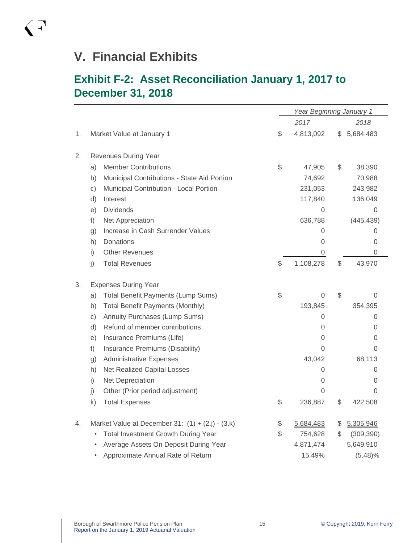# **V. Financial Exhibits**

## **Exhibit F-2: Asset Reconciliation January 1, 2017 to December 31, 2018**

|    |                                                         |    | Year Beginning January 1 |    |                |  |
|----|---------------------------------------------------------|----|--------------------------|----|----------------|--|
|    |                                                         |    | 2017<br>2018             |    |                |  |
| 1. | Market Value at January 1                               | \$ | 4,813,092                | \$ | 5,684,483      |  |
|    |                                                         |    |                          |    |                |  |
| 2. | <b>Revenues During Year</b>                             |    |                          |    |                |  |
|    | <b>Member Contributions</b><br>a)                       | \$ | 47,905                   | \$ | 38,390         |  |
|    | Municipal Contributions - State Aid Portion<br>b)       |    | 74,692                   |    | 70,988         |  |
|    | Municipal Contribution - Local Portion<br>c)            |    | 231,053                  |    | 243,982        |  |
|    | Interest<br>d)                                          |    | 117,840                  |    | 136,049        |  |
|    | <b>Dividends</b><br>e)                                  |    | 0                        |    | 0              |  |
|    | Net Appreciation<br>f)                                  |    | 636,788                  |    | (445, 439)     |  |
|    | Increase in Cash Surrender Values<br>g)                 |    | 0                        |    | 0              |  |
|    | Donations<br>h)                                         |    | 0                        |    | 0              |  |
|    | <b>Other Revenues</b><br>i)                             |    | 0                        |    | $\overline{0}$ |  |
|    | <b>Total Revenues</b><br>j)                             | \$ | 1,108,278                | \$ | 43,970         |  |
| 3. | <b>Expenses During Year</b>                             |    |                          |    |                |  |
|    | <b>Total Benefit Payments (Lump Sums)</b><br>a)         | \$ | 0                        | \$ | 0              |  |
|    | <b>Total Benefit Payments (Monthly)</b><br>b)           |    | 193,845                  |    | 354,395        |  |
|    | Annuity Purchases (Lump Sums)<br>C)                     |    | 0                        |    | 0              |  |
|    | Refund of member contributions<br>d)                    |    | 0                        |    | 0              |  |
|    | Insurance Premiums (Life)<br>e)                         |    | 0                        | 0  |                |  |
|    | Insurance Premiums (Disability)<br>f)                   |    | 0                        |    | 0              |  |
|    | <b>Administrative Expenses</b><br>g)                    |    | 43,042                   |    | 68,113         |  |
|    | Net Realized Capital Losses<br>h)                       |    | 0                        |    | 0              |  |
|    | Net Depreciation<br>i)                                  |    | $\overline{0}$           |    | 0              |  |
|    | j)<br>Other (Prior period adjustment)                   |    | 0                        |    | 0              |  |
|    | <b>Total Expenses</b><br>k)                             |    | 236,887                  | S  | 422,508        |  |
| 4. | Market Value at December 31: $(1) + (2.j) - (3.k)$      | \$ | 5,684,483                | \$ | 5,305,946      |  |
|    | <b>Total Investment Growth During Year</b><br>$\bullet$ | S  | 754,628                  | \$ | (309, 390)     |  |
|    | Average Assets On Deposit During Year                   |    | 4,871,474                |    | 5,649,910      |  |
|    | Approximate Annual Rate of Return                       |    | 15.49%                   |    | $(5.48)\%$     |  |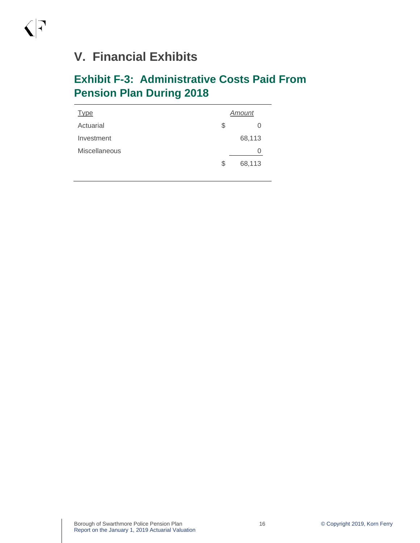# **V. Financial Exhibits**

 $\bigwedge$ 

## **Exhibit F-3: Administrative Costs Paid From Pension Plan During 2018**

| <b>Type</b>          | Amount       |  |  |
|----------------------|--------------|--|--|
| Actuarial            | \$<br>O      |  |  |
| Investment           | 68,113       |  |  |
| <b>Miscellaneous</b> | O            |  |  |
|                      | \$<br>68,113 |  |  |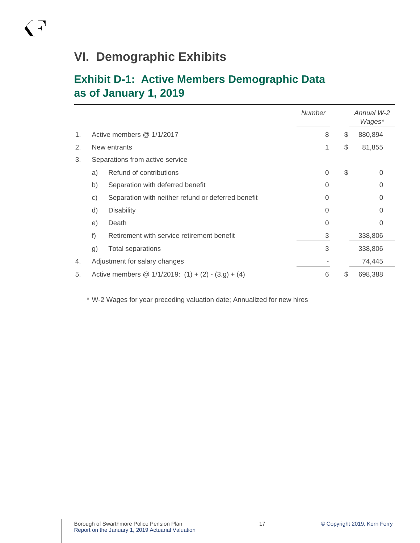## **VI. Demographic Exhibits**

 $\bigwedge$ 

## **Exhibit D-1: Active Members Demographic Data as of January 1, 2019**

|    |              |                                                       | <b>Number</b> | Annual W-2<br>Wages* |
|----|--------------|-------------------------------------------------------|---------------|----------------------|
| 1. |              | Active members @ 1/1/2017                             | 8             | \$<br>880,894        |
| 2. | New entrants |                                                       |               | \$<br>81,855         |
| 3. |              | Separations from active service                       |               |                      |
|    | a)           | Refund of contributions                               | $\Omega$      | \$<br>0              |
|    | b)           | Separation with deferred benefit                      | $\Omega$      | 0                    |
|    | $\mathbf{C}$ | Separation with neither refund or deferred benefit    | $\Omega$      | 0                    |
|    | d)           | <b>Disability</b>                                     | $\Omega$      |                      |
|    | e)           | Death                                                 | $\Omega$      | O                    |
|    | f)           | Retirement with service retirement benefit            | 3             | 338,806              |
|    | g)           | <b>Total separations</b>                              | 3             | 338,806              |
| 4. |              | Adjustment for salary changes                         |               | 74,445               |
| 5. |              | Active members @ $1/1/2019$ : (1) + (2) - (3.g) + (4) | 6             | \$<br>698,388        |

\* W-2 Wages for year preceding valuation date; Annualized for new hires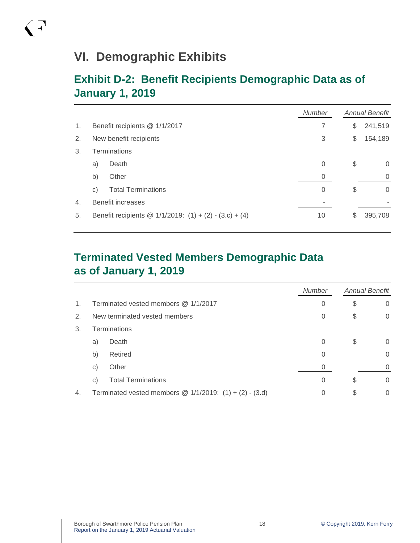## **VI. Demographic Exhibits**

 $\bigcap$ 

## **Exhibit D-2: Benefit Recipients Demographic Data as of January 1, 2019**

|    |    |                                                             | <b>Number</b> | <b>Annual Benefit</b> |  |
|----|----|-------------------------------------------------------------|---------------|-----------------------|--|
| 1. |    | Benefit recipients @ 1/1/2017                               | 7             | \$<br>241,519         |  |
| 2. |    | New benefit recipients                                      | 3             | \$<br>154,189         |  |
| 3. |    | <b>Terminations</b>                                         |               |                       |  |
|    | a) | Death                                                       | 0             | \$<br>$\Omega$        |  |
|    | b) | Other                                                       | 0             | $\Omega$              |  |
|    | C) | <b>Total Terminations</b>                                   | 0             | \$<br>$\Omega$        |  |
| 4. |    | <b>Benefit increases</b>                                    |               |                       |  |
| 5. |    | Benefit recipients @ $1/1/2019$ : $(1) + (2) - (3.c) + (4)$ | 10            | \$<br>395,708         |  |

## **Terminated Vested Members Demographic Data as of January 1, 2019**

|                |                                    |                                                            | <b>Number</b> | <b>Annual Benefit</b> |          |
|----------------|------------------------------------|------------------------------------------------------------|---------------|-----------------------|----------|
| $\mathbf{1}$ . |                                    | Terminated vested members $@1/1/2017$                      | 0             | \$                    | $\Omega$ |
| 2.             | New terminated vested members<br>0 |                                                            |               |                       | $\Omega$ |
| 3.             | <b>Terminations</b>                |                                                            |               |                       |          |
|                | a)                                 | Death                                                      | $\Omega$      | \$                    | $\Omega$ |
|                | b)                                 | Retired                                                    | 0             |                       | $\Omega$ |
|                | $\mathsf{C}$                       | Other                                                      | 0             |                       | $\Omega$ |
|                | $\mathsf{C}$                       | <b>Total Terminations</b>                                  | 0             | \$                    | $\Omega$ |
| 4.             |                                    | Terminated vested members $@ 1/1/2019$ : (1) + (2) - (3.d) | 0             | \$                    | 0        |